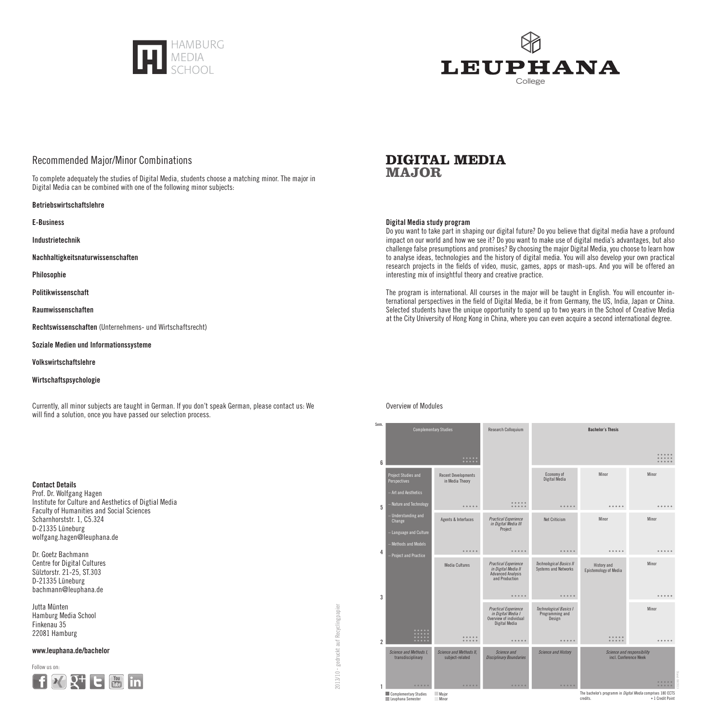



# Recommended Major/Minor Combinations

To complete adequately the studies of Digital Media, students choose a matching minor. The major in Digital Media can be combined with one of the following minor subjects:

#### Betriebswirtschaftslehre

E-Business

Industrietechnik

Nachhaltigkeitsnaturwissenschaften

Philosophie

Politikwissenschaft

Raumwissenschaften

Rechtswissenschaften (Unternehmens- und Wirtschaftsrecht)

Soziale Medien und Informationssysteme

Volkswirtschaftslehre

### Wirtschaftspsychologie

Currently, all minor subjects are taught in German. If you don't speak German, please contact us: We will find a solution, once you have passed our selection process.

### Contact Details

Prof. Dr. Wolfgang Hagen Institute for Culture and Aesthetics of Digtial Media Faculty of Humanities and Social Sciences Scharnhorststr. 1, C5.324 D-21335 Lüneburg wolfgang.hagen@leuphana.de

Dr. Goetz Bachmann Centre for Digital Cultures Sülztorstr. 21-25, ST.303 D-21335 Lüneburg bachmann@leuphana.de

Jutta Münten Hamburg Media School Finkenau 35 22081 Hamburg

### www.leuphana.de/bachelor

Follow us on:



# **DIGITAL MEDIA MAJOR**

### Digital Media study program

Do you want to take part in shaping our digital future? Do you believe that digital media have a profound impact on our world and how we see it? Do you want to make use of digital media's advantages, but also challenge false presumptions and promises? By choosing the major Digital Media, you choose to learn how to analyse ideas, technologies and the history of digital media. You will also develop your own practical research projects in the fields of video, music, games, apps or mash-ups. And you will be offered an interesting mix of insightful theory and creative practice.

The program is international. All courses in the major will be taught in English. You will encounter international perspectives in the field of Digital Media, be it from Germany, the US, India, Japan or China. Selected students have the unique opportunity to spend up to two years in the School of Creative Media at the City University of Hong Kong in China, where you can even acquire a second international degree.



### Overview of Modules